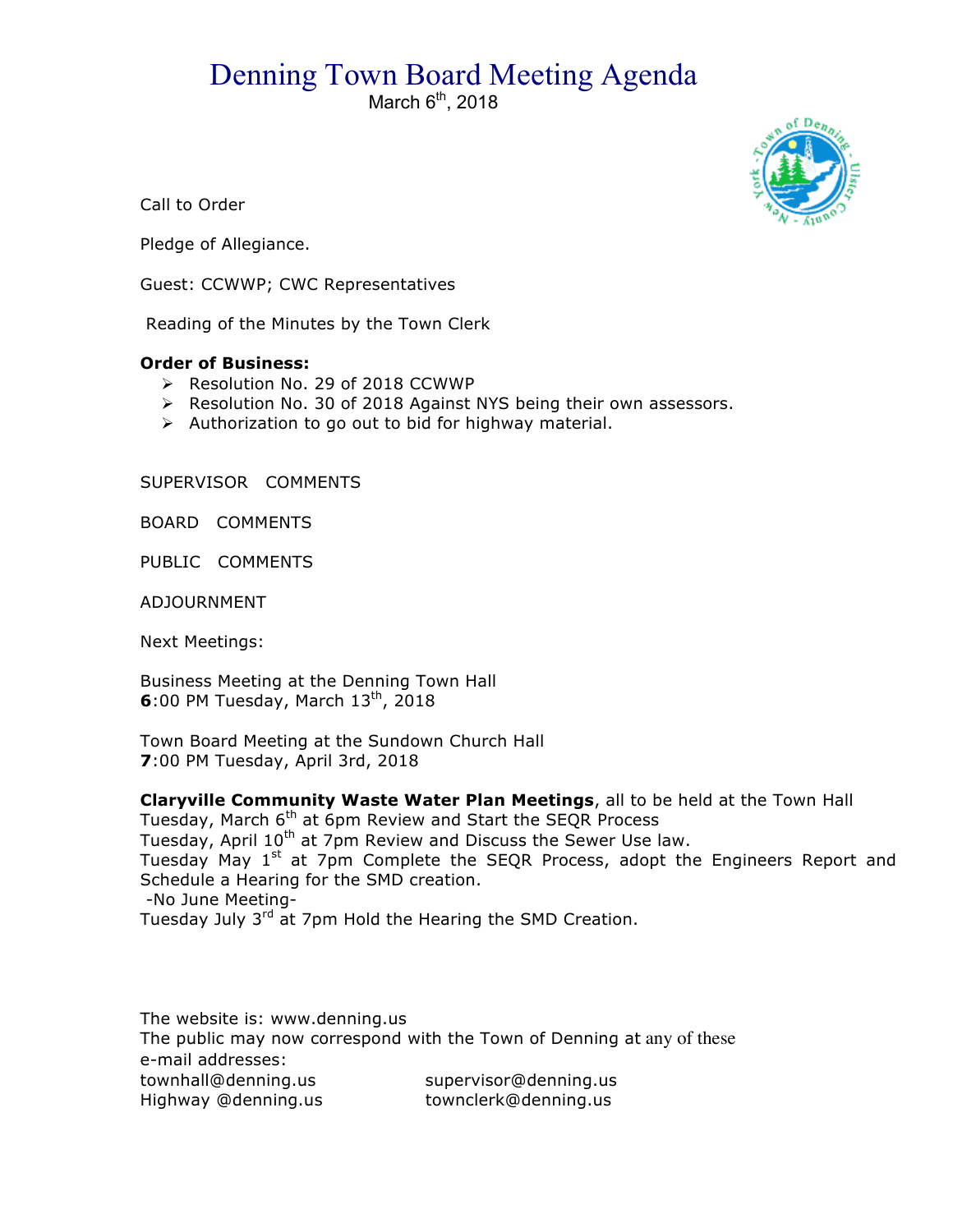## Denning Town Board Meeting Agenda

March  $6<sup>th</sup>$ , 2018



Call to Order

Pledge of Allegiance.

Guest: CCWWP; CWC Representatives

Reading of the Minutes by the Town Clerk

## **Order of Business:**

- ▶ Resolution No. 29 of 2018 CCWWP
- > Resolution No. 30 of 2018 Against NYS being their own assessors.
- $\triangleright$  Authorization to go out to bid for highway material.

SUPERVISOR COMMENTS

BOARD COMMENTS

PUBLIC COMMENTS

ADJOURNMENT

Next Meetings:

Business Meeting at the Denning Town Hall **6**:00 PM Tuesday, March 13<sup>th</sup>, 2018

Town Board Meeting at the Sundown Church Hall **7**:00 PM Tuesday, April 3rd, 2018

**Claryville Community Waste Water Plan Meetings**, all to be held at the Town Hall Tuesday, March 6<sup>th</sup> at 6pm Review and Start the SEQR Process Tuesday, April 10<sup>th</sup> at 7pm Review and Discuss the Sewer Use law. Tuesday May 1<sup>st</sup> at 7pm Complete the SEQR Process, adopt the Engineers Report and Schedule a Hearing for the SMD creation. -No June Meeting-Tuesday July 3<sup>rd</sup> at 7pm Hold the Hearing the SMD Creation.

The website is: www.denning.us The public may now correspond with the Town of Denning at any of these e-mail addresses: townhall@denning.us supervisor@denning.us Highway @denning.us townclerk@denning.us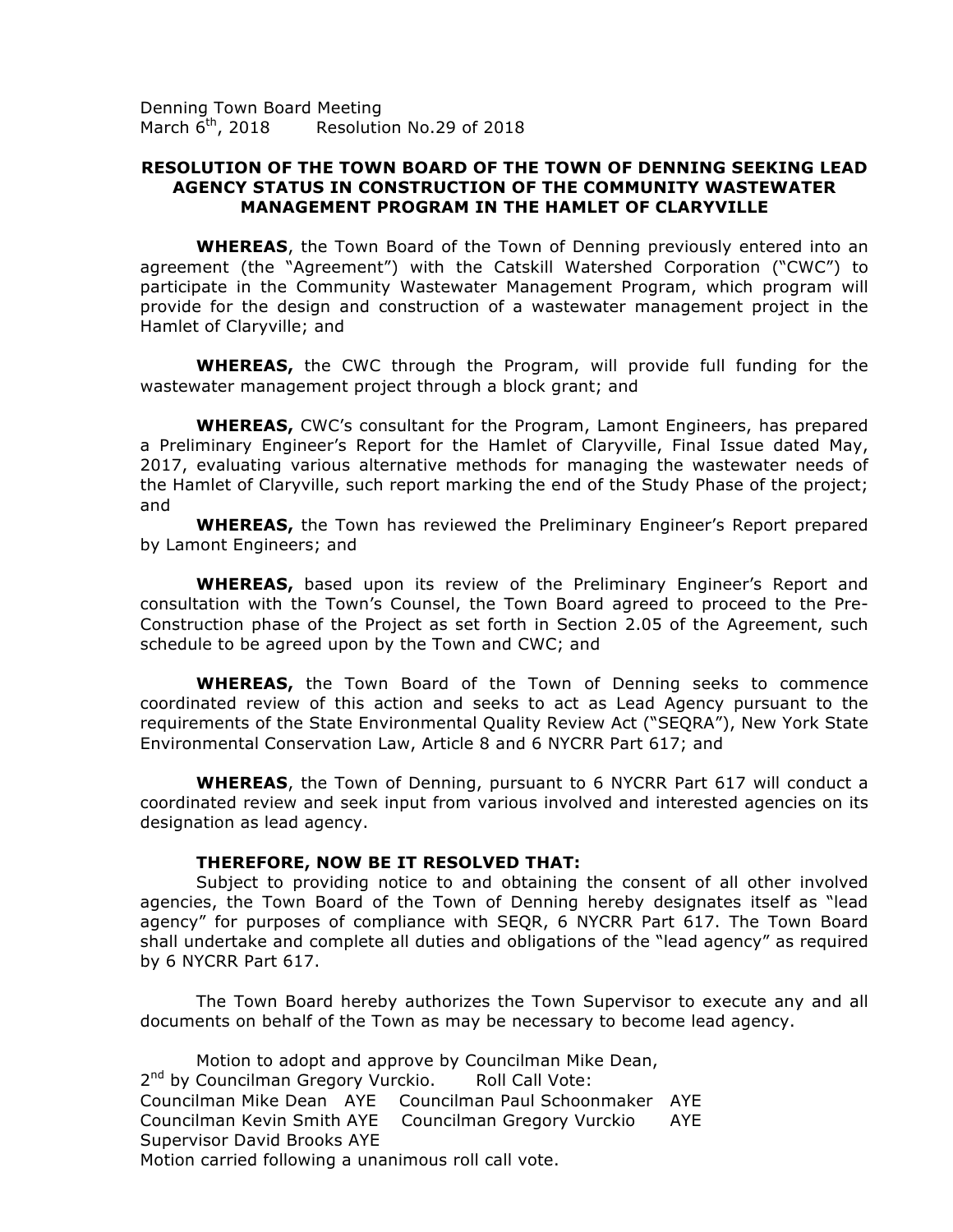Denning Town Board Meeting March 6<sup>th</sup>, 2018 Resolution No.29 of 2018

## **RESOLUTION OF THE TOWN BOARD OF THE TOWN OF DENNING SEEKING LEAD AGENCY STATUS IN CONSTRUCTION OF THE COMMUNITY WASTEWATER MANAGEMENT PROGRAM IN THE HAMLET OF CLARYVILLE**

**WHEREAS**, the Town Board of the Town of Denning previously entered into an agreement (the "Agreement") with the Catskill Watershed Corporation ("CWC") to participate in the Community Wastewater Management Program, which program will provide for the design and construction of a wastewater management project in the Hamlet of Claryville; and

**WHEREAS,** the CWC through the Program, will provide full funding for the wastewater management project through a block grant; and

**WHEREAS,** CWC's consultant for the Program, Lamont Engineers, has prepared a Preliminary Engineer's Report for the Hamlet of Claryville, Final Issue dated May, 2017, evaluating various alternative methods for managing the wastewater needs of the Hamlet of Claryville, such report marking the end of the Study Phase of the project; and

**WHEREAS,** the Town has reviewed the Preliminary Engineer's Report prepared by Lamont Engineers; and

**WHEREAS,** based upon its review of the Preliminary Engineer's Report and consultation with the Town's Counsel, the Town Board agreed to proceed to the Pre-Construction phase of the Project as set forth in Section 2.05 of the Agreement, such schedule to be agreed upon by the Town and CWC; and

**WHEREAS,** the Town Board of the Town of Denning seeks to commence coordinated review of this action and seeks to act as Lead Agency pursuant to the requirements of the State Environmental Quality Review Act ("SEQRA"), New York State Environmental Conservation Law, Article 8 and 6 NYCRR Part 617; and

**WHEREAS**, the Town of Denning, pursuant to 6 NYCRR Part 617 will conduct a coordinated review and seek input from various involved and interested agencies on its designation as lead agency.

## **THEREFORE, NOW BE IT RESOLVED THAT:**

Subject to providing notice to and obtaining the consent of all other involved agencies, the Town Board of the Town of Denning hereby designates itself as "lead agency" for purposes of compliance with SEQR, 6 NYCRR Part 617. The Town Board shall undertake and complete all duties and obligations of the "lead agency" as required by 6 NYCRR Part 617.

The Town Board hereby authorizes the Town Supervisor to execute any and all documents on behalf of the Town as may be necessary to become lead agency.

Motion to adopt and approve by Councilman Mike Dean, 2<sup>nd</sup> by Councilman Gregory Vurckio. Roll Call Vote: Councilman Mike Dean AYE Councilman Paul Schoonmaker AYE Councilman Kevin Smith AYE Councilman Gregory Vurckio AYE Supervisor David Brooks AYE Motion carried following a unanimous roll call vote.